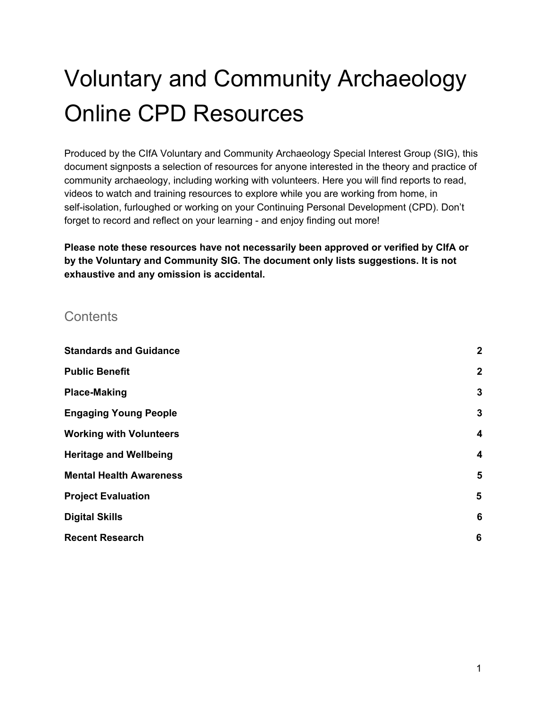# Voluntary and Community Archaeology Online CPD Resources

Produced by the CIfA Voluntary and Community Archaeology Special Interest Group (SIG), this document signposts a selection of resources for anyone interested in the theory and practice of community archaeology, including working with volunteers. Here you will find reports to read, videos to watch and training resources to explore while you are working from home, in self-isolation, furloughed or working on your Continuing Personal Development (CPD). Don't forget to record and reflect on your learning - and enjoy finding out more!

**Please note these resources have not necessarily been approved or verified by CIfA or by the Voluntary and Community SIG. The document only lists suggestions. It is not exhaustive and any omission is accidental.**

#### **Contents**

| <b>Standards and Guidance</b>  | $\boldsymbol{2}$ |
|--------------------------------|------------------|
| <b>Public Benefit</b>          | $\overline{2}$   |
| <b>Place-Making</b>            | $\mathbf{3}$     |
| <b>Engaging Young People</b>   | 3                |
| <b>Working with Volunteers</b> | 4                |
| <b>Heritage and Wellbeing</b>  | 4                |
| <b>Mental Health Awareness</b> | $5\phantom{1}$   |
| <b>Project Evaluation</b>      | 5                |
| <b>Digital Skills</b>          | 6                |
| <b>Recent Research</b>         | 6                |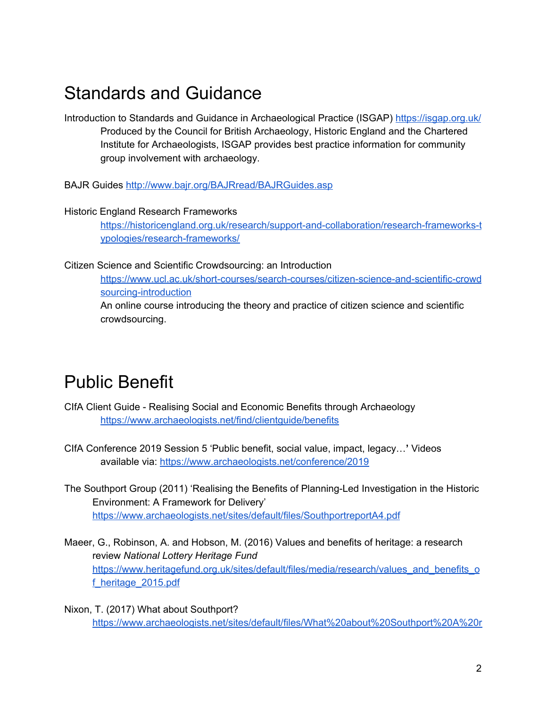### <span id="page-1-0"></span>Standards and Guidance

Introduction to Standards and Guidance in Archaeological Practice (ISGAP) <https://isgap.org.uk/> Produced by the Council for British Archaeology, Historic England and the Chartered Institute for Archaeologists, ISGAP provides best practice information for community group involvement with archaeology.

BAJR Guides <http://www.bajr.org/BAJRread/BAJRGuides.asp>

#### Historic England Research Frameworks

[https://historicengland.org.uk/research/support-and-collaboration/research-frameworks-t](https://historicengland.org.uk/research/support-and-collaboration/research-frameworks-typologies/research-frameworks/) [ypologies/research-frameworks/](https://historicengland.org.uk/research/support-and-collaboration/research-frameworks-typologies/research-frameworks/)

Citizen Science and Scientific Crowdsourcing: an Introduction

[https://www.ucl.ac.uk/short-courses/search-courses/citizen-science-and-scientific-crowd](https://www.ucl.ac.uk/short-courses/search-courses/citizen-science-and-scientific-crowdsourcing-introduction) [sourcing-introduction](https://www.ucl.ac.uk/short-courses/search-courses/citizen-science-and-scientific-crowdsourcing-introduction) An online course introducing the theory and practice of citizen science and scientific crowdsourcing.

#### <span id="page-1-1"></span>Public Benefit

- CIfA Client Guide Realising Social and Economic Benefits through Archaeology <https://www.archaeologists.net/find/clientguide/benefits>
- CIfA Conference 2019 Session 5 'Public benefit, social value, impact, legacy…**'** Videos available via: <https://www.archaeologists.net/conference/2019>
- The Southport Group (2011) 'Realising the Benefits of Planning-Led Investigation in the Historic Environment: A Framework for Delivery' <https://www.archaeologists.net/sites/default/files/SouthportreportA4.pdf>
- Maeer, G., Robinson, A. and Hobson, M. (2016) Values and benefits of heritage: a research review *National Lottery Heritage Fund* [https://www.heritagefund.org.uk/sites/default/files/media/research/values\\_and\\_benefits\\_o](https://www.heritagefund.org.uk/sites/default/files/media/research/values_and_benefits_of_heritage_2015.pdf) [f\\_heritage\\_2015.pdf](https://www.heritagefund.org.uk/sites/default/files/media/research/values_and_benefits_of_heritage_2015.pdf)
- Nixon, T. (2017) What about Southport? [https://www.archaeologists.net/sites/default/files/What%20about%20Southport%20A%20r](https://www.archaeologists.net/sites/default/files/What%20about%20Southport%20A%20report%20to%20CIfA%20against%20the%20vision%20and%20recommendations%20of%20the%20Southport%20report%202017_0.pdf)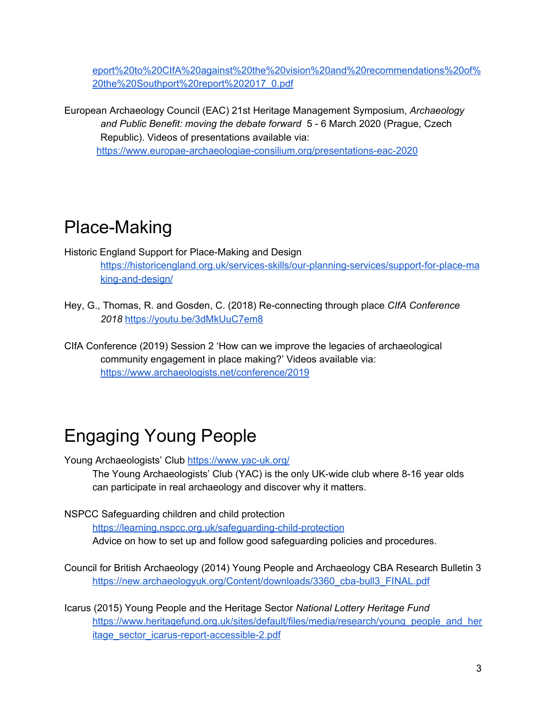[eport%20to%20CIfA%20against%20the%20vision%20and%20recommendations%20of%](https://www.archaeologists.net/sites/default/files/What%20about%20Southport%20A%20report%20to%20CIfA%20against%20the%20vision%20and%20recommendations%20of%20the%20Southport%20report%202017_0.pdf) [20the%20Southport%20report%202017\\_0.pdf](https://www.archaeologists.net/sites/default/files/What%20about%20Southport%20A%20report%20to%20CIfA%20against%20the%20vision%20and%20recommendations%20of%20the%20Southport%20report%202017_0.pdf)

European Archaeology Council (EAC) 21st Heritage Management Symposium, *Archaeology and Public Benefit: moving the debate forward* 5 - 6 March 2020 (Prague, Czech Republic). Videos of presentations available via: <https://www.europae-archaeologiae-consilium.org/presentations-eac-2020>

### <span id="page-2-0"></span>Place-Making

Historic England Support for Place-Making and Design [https://historicengland.org.uk/services-skills/our-planning-services/support-for-place-ma](https://historicengland.org.uk/services-skills/our-planning-services/support-for-place-making-and-design/) [king-and-design/](https://historicengland.org.uk/services-skills/our-planning-services/support-for-place-making-and-design/)

Hey, G., Thomas, R. and Gosden, C. (2018) Re-connecting through place *CIfA Conference 2018* <https://youtu.be/3dMkUuC7em8>

CIfA Conference (2019) Session 2 'How can we improve the legacies of archaeological community engagement in place making?' Videos available via: <https://www.archaeologists.net/conference/2019>

## <span id="page-2-1"></span>Engaging Young People

Young Archaeologists' Club <https://www.yac-uk.org/>

The Young Archaeologists' Club (YAC) is the only UK-wide club where 8-16 year olds can participate in real archaeology and discover why it matters.

NSPCC Safeguarding children and child protection

<https://learning.nspcc.org.uk/safeguarding-child-protection> Advice on how to set up and follow good safeguarding policies and procedures.

Council for British Archaeology (2014) Young People and Archaeology CBA Research Bulletin 3 [https://new.archaeologyuk.org/Content/downloads/3360\\_cba-bull3\\_FINAL.pdf](https://new.archaeologyuk.org/Content/downloads/3360_cba-bull3_FINAL.pdf)

Icarus (2015) Young People and the Heritage Sector *National Lottery Heritage Fund* [https://www.heritagefund.org.uk/sites/default/files/media/research/young\\_people\\_and\\_her](https://www.heritagefund.org.uk/sites/default/files/media/research/young_people_and_heritage_sector_icarus-report-accessible-2.pdf) [itage\\_sector\\_icarus-report-accessible-2.pdf](https://www.heritagefund.org.uk/sites/default/files/media/research/young_people_and_heritage_sector_icarus-report-accessible-2.pdf)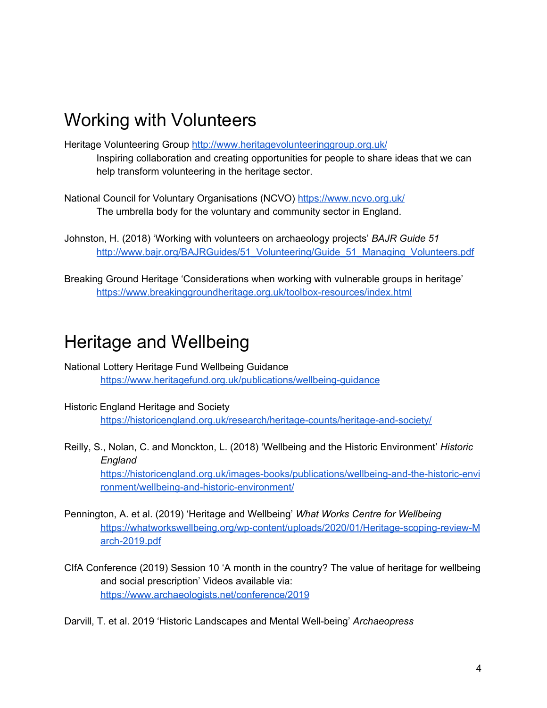#### <span id="page-3-0"></span>Working with Volunteers

Heritage Volunteering Group <http://www.heritagevolunteeringgroup.org.uk/> Inspiring collaboration and creating opportunities for people to share ideas that we can help transform volunteering in the heritage sector.

National Council for Voluntary Organisations (NCVO) <https://www.ncvo.org.uk/> The umbrella body for the voluntary and community sector in England.

Johnston, H. (2018) 'Working with volunteers on archaeology projects' *BAJR Guide 51* [http://www.bajr.org/BAJRGuides/51\\_Volunteering/Guide\\_51\\_Managing\\_Volunteers.pdf](http://www.bajr.org/BAJRGuides/51_Volunteering/Guide_51_Managing_Volunteers.pdf)

Breaking Ground Heritage 'Considerations when working with vulnerable groups in heritage' <https://www.breakinggroundheritage.org.uk/toolbox-resources/index.html>

#### <span id="page-3-1"></span>Heritage and Wellbeing

National Lottery Heritage Fund Wellbeing Guidance <https://www.heritagefund.org.uk/publications/wellbeing-guidance>

- Historic England Heritage and Society <https://historicengland.org.uk/research/heritage-counts/heritage-and-society/>
- Reilly, S., Nolan, C. and Monckton, L. (2018) 'Wellbeing and the Historic Environment' *Historic England*

[https://historicengland.org.uk/images-books/publications/wellbeing-and-the-historic-envi](https://historicengland.org.uk/images-books/publications/wellbeing-and-the-historic-environment/wellbeing-and-historic-environment/) [ronment/wellbeing-and-historic-environment/](https://historicengland.org.uk/images-books/publications/wellbeing-and-the-historic-environment/wellbeing-and-historic-environment/)

- Pennington, A. et al. (2019) 'Heritage and Wellbeing' *What Works Centre for Wellbeing* [https://whatworkswellbeing.org/wp-content/uploads/2020/01/Heritage-scoping-review-M](https://whatworkswellbeing.org/wp-content/uploads/2020/01/Heritage-scoping-review-March-2019.pdf) [arch-2019.pdf](https://whatworkswellbeing.org/wp-content/uploads/2020/01/Heritage-scoping-review-March-2019.pdf)
- CIfA Conference (2019) Session 10 'A month in the country? The value of heritage for wellbeing and social prescription' Videos available via: <https://www.archaeologists.net/conference/2019>

Darvill, T. et al. 2019 'Historic Landscapes and Mental Well-being' *Archaeopress*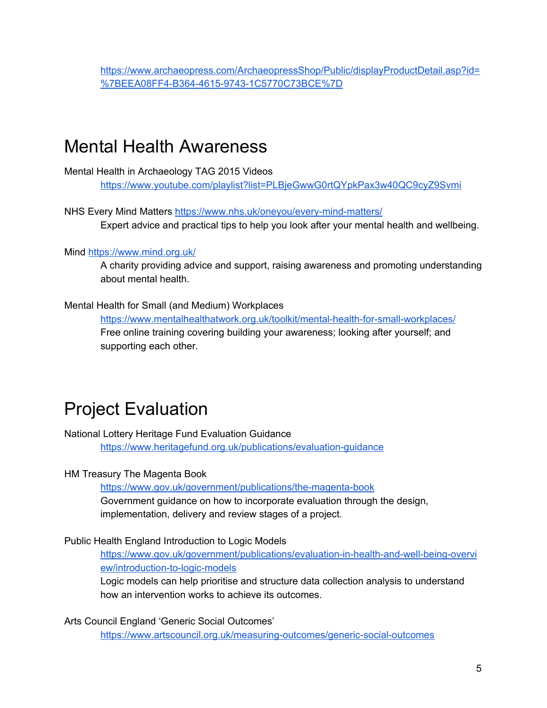[https://www.archaeopress.com/ArchaeopressShop/Public/displayProductDetail.asp?id=](https://www.archaeopress.com/ArchaeopressShop/Public/displayProductDetail.asp?id=%7BEEA08FF4-B364-4615-9743-1C5770C73BCE%7D) [%7BEEA08FF4-B364-4615-9743-1C5770C73BCE%7D](https://www.archaeopress.com/ArchaeopressShop/Public/displayProductDetail.asp?id=%7BEEA08FF4-B364-4615-9743-1C5770C73BCE%7D)

#### <span id="page-4-0"></span>Mental Health Awareness

Mental Health in Archaeology TAG 2015 Videos <https://www.youtube.com/playlist?list=PLBjeGwwG0rtQYpkPax3w40QC9cyZ9Svmi>

NHS Every Mind Matters <https://www.nhs.uk/oneyou/every-mind-matters/> Expert advice and practical tips to help you look after your mental health and wellbeing.

#### Mind <https://www.mind.org.uk/>

A charity providing advice and support, raising awareness and promoting understanding about mental health.

#### Mental Health for Small (and Medium) Workplaces

<https://www.mentalhealthatwork.org.uk/toolkit/mental-health-for-small-workplaces/> Free online training covering building your awareness; looking after yourself; and supporting each other.

### <span id="page-4-1"></span>Project Evaluation

National Lottery Heritage Fund Evaluation Guidance

<https://www.heritagefund.org.uk/publications/evaluation-guidance>

#### HM Treasury The Magenta Book

<https://www.gov.uk/government/publications/the-magenta-book> Government guidance on how to incorporate evaluation through the design, implementation, delivery and review stages of a project.

#### Public Health England Introduction to Logic Models

[https://www.gov.uk/government/publications/evaluation-in-health-and-well-being-overvi](https://www.gov.uk/government/publications/evaluation-in-health-and-well-being-overview/introduction-to-logic-models) [ew/introduction-to-logic-models](https://www.gov.uk/government/publications/evaluation-in-health-and-well-being-overview/introduction-to-logic-models)

Logic models can help prioritise and structure data collection analysis to understand how an intervention works to achieve its outcomes.

Arts Council England 'Generic Social Outcomes'

<https://www.artscouncil.org.uk/measuring-outcomes/generic-social-outcomes>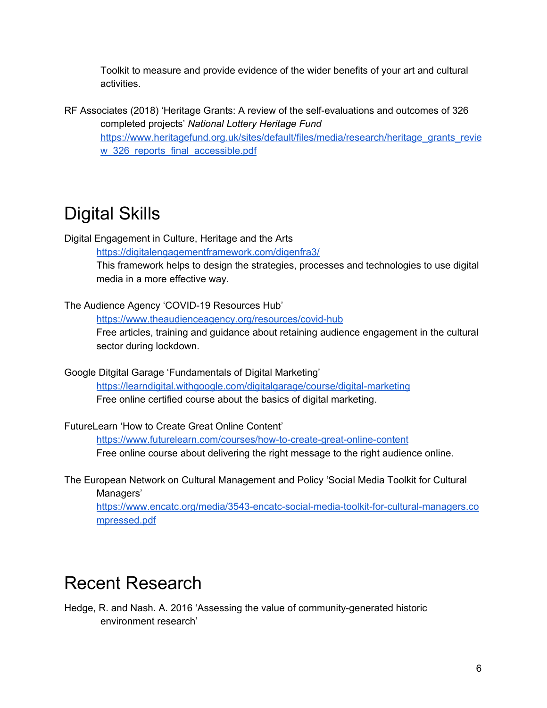Toolkit to measure and provide evidence of the wider benefits of your art and cultural activities.

RF Associates (2018) 'Heritage Grants: A review of the self-evaluations and outcomes of 326 completed projects' *National Lottery Heritage Fund* [https://www.heritagefund.org.uk/sites/default/files/media/research/heritage\\_grants\\_revie](https://www.heritagefund.org.uk/sites/default/files/media/research/heritage_grants_review_326_reports_final_accessible.pdf) w 326 reports final accessible.pdf

### <span id="page-5-0"></span>Digital Skills

Digital Engagement in Culture, Heritage and the Arts

<https://digitalengagementframework.com/digenfra3/>

This framework helps to design the strategies, processes and technologies to use digital media in a more effective way.

The Audience Agency 'COVID-19 Resources Hub'

<https://www.theaudienceagency.org/resources/covid-hub> Free articles, training and guidance about retaining audience engagement in the cultural sector during lockdown.

Google Ditgital Garage 'Fundamentals of Digital Marketing' <https://learndigital.withgoogle.com/digitalgarage/course/digital-marketing> Free online certified course about the basics of digital marketing.

FutureLearn 'How to Create Great Online Content'

<https://www.futurelearn.com/courses/how-to-create-great-online-content> Free online course about delivering the right message to the right audience online.

The European Network on Cultural Management and Policy 'Social Media Toolkit for Cultural Managers'

[https://www.encatc.org/media/3543-encatc-social-media-toolkit-for-cultural-managers.co](https://www.encatc.org/media/3543-encatc-social-media-toolkit-for-cultural-managers.compressed.pdf) [mpressed.pdf](https://www.encatc.org/media/3543-encatc-social-media-toolkit-for-cultural-managers.compressed.pdf)

### <span id="page-5-1"></span>Recent Research

Hedge, R. and Nash. A. 2016 'Assessing the value of community-generated historic environment research'